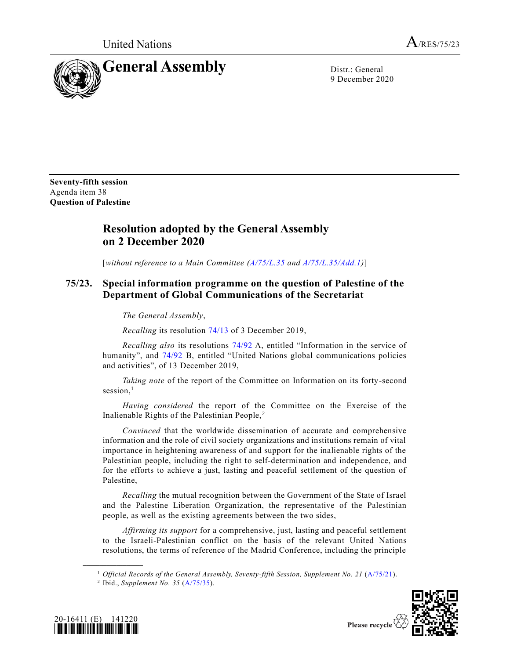

9 December 2020

**Seventy-fifth session** Agenda item 38 **Question of Palestine**

## **Resolution adopted by the General Assembly on 2 December 2020**

[*without reference to a Main Committee [\(A/75/L.35](https://undocs.org/en/A/75/L.35) and [A/75/L.35/Add.1\)](https://undocs.org/en/A/75/L.35/Add.1)*]

## **75/23. Special information programme on the question of Palestine of the Department of Global Communications of the Secretariat**

*The General Assembly*,

*Recalling* its resolution [74/13](https://undocs.org/en/A/RES/74/13) of 3 December 2019,

*Recalling also* its resolutions [74/92](https://undocs.org/en/A/RES/74/92A-B) A, entitled "Information in the service of humanity", and [74/92](https://undocs.org/en/A/RES/74/92A-B) B, entitled "United Nations global communications policies and activities", of 13 December 2019,

*Taking note* of the report of the Committee on Information on its forty-second session. $<sup>1</sup>$ </sup>

*Having considered* the report of the Committee on the Exercise of the Inalienable Rights of the Palestinian People, <sup>2</sup>

*Convinced* that the worldwide dissemination of accurate and comprehensive information and the role of civil society organizations and institutions remain of vital importance in heightening awareness of and support for the inalienable rights of the Palestinian people, including the right to self-determination and independence, and for the efforts to achieve a just, lasting and peaceful settlement of the question of Palestine,

*Recalling* the mutual recognition between the Government of the State of Israel and the Palestine Liberation Organization, the representative of the Palestinian people, as well as the existing agreements between the two sides,

*Affirming its support* for a comprehensive, just, lasting and peaceful settlement to the Israeli-Palestinian conflict on the basis of the relevant United Nations resolutions, the terms of reference of the Madrid Conference, including the principle





**\_\_\_\_\_\_\_\_\_\_\_\_\_\_\_\_\_\_**

<sup>1</sup> *Official Records of the General Assembly, Seventy-fifth Session, Supplement No. 21* [\(A/75/21\)](https://undocs.org/en/A/75/21).

<sup>2</sup> Ibid., *Supplement No. 35* [\(A/75/35\)](https://undocs.org/en/A/75/35).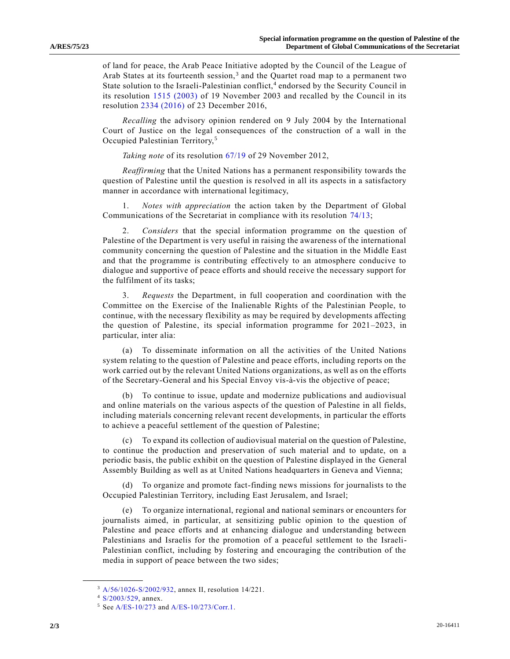of land for peace, the Arab Peace Initiative adopted by the Council of the League of Arab States at its fourteenth session,<sup>3</sup> and the Quartet road map to a permanent two State solution to the Israeli-Palestinian conflict,<sup>4</sup> endorsed by the Security Council in its resolution [1515 \(2003\)](https://undocs.org/en/S/RES/1515(2003)) of 19 November 2003 and recalled by the Council in its resolution [2334 \(2016\)](https://undocs.org/en/S/RES/2334(2016)) of 23 December 2016,

*Recalling* the advisory opinion rendered on 9 July 2004 by the International Court of Justice on the legal consequences of the construction of a wall in the Occupied Palestinian Territory,<sup>5</sup>

*Taking note* of its resolution [67/19](https://undocs.org/en/A/RES/67/19) of 29 November 2012,

*Reaffirming* that the United Nations has a permanent responsibility towards the question of Palestine until the question is resolved in all its aspects in a satisfactory manner in accordance with international legitimacy,

1. *Notes with appreciation* the action taken by the Department of Global Communications of the Secretariat in compliance with its resolution [74/13;](https://undocs.org/en/A/RES/74/13)

2. *Considers* that the special information programme on the question of Palestine of the Department is very useful in raising the awareness of the international community concerning the question of Palestine and the situation in the Middle East and that the programme is contributing effectively to an atmosphere conducive to dialogue and supportive of peace efforts and should receive the necessary support for the fulfilment of its tasks;

3. *Requests* the Department, in full cooperation and coordination with the Committee on the Exercise of the Inalienable Rights of the Palestinian People, to continue, with the necessary flexibility as may be required by developments affecting the question of Palestine, its special information programme for 2021–2023, in particular, inter alia:

(a) To disseminate information on all the activities of the United Nations system relating to the question of Palestine and peace efforts, including reports on the work carried out by the relevant United Nations organizations, as well as on the efforts of the Secretary-General and his Special Envoy vis-à-vis the objective of peace;

(b) To continue to issue, update and modernize publications and audiovisual and online materials on the various aspects of the question of Palestine in all fields, including materials concerning relevant recent developments, in particular the efforts to achieve a peaceful settlement of the question of Palestine;

(c) To expand its collection of audiovisual material on the question of Palestine, to continue the production and preservation of such material and to update, on a periodic basis, the public exhibit on the question of Palestine displayed in the General Assembly Building as well as at United Nations headquarters in Geneva and Vienna;

(d) To organize and promote fact-finding news missions for journalists to the Occupied Palestinian Territory, including East Jerusalem, and Israel;

(e) To organize international, regional and national seminars or encounters for journalists aimed, in particular, at sensitizing public opinion to the question of Palestine and peace efforts and at enhancing dialogue and understanding between Palestinians and Israelis for the promotion of a peaceful settlement to the Israeli-Palestinian conflict, including by fostering and encouraging the contribution of the media in support of peace between the two sides;

**\_\_\_\_\_\_\_\_\_\_\_\_\_\_\_\_\_\_**

<sup>3</sup> [A/56/1026-S/2002/932,](https://undocs.org/en/A/56/1026) annex II, resolution 14/221.

<sup>4</sup> [S/2003/529,](https://undocs.org/en/S/2003/529) annex.

<sup>5</sup> Se[e A/ES-10/273](https://undocs.org/en/A/ES-10/273) and [A/ES-10/273/Corr.1.](https://undocs.org/en/A/ES-10/273/Corr.1)